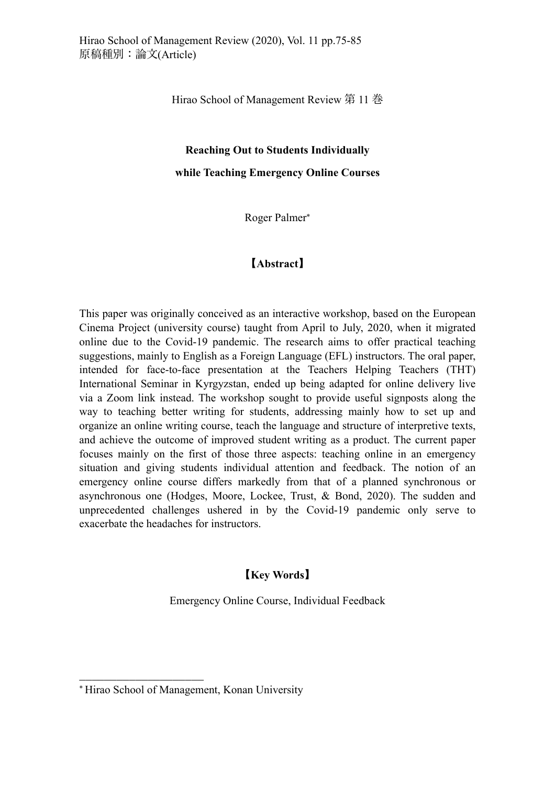Hirao School of Management Review 第 11 巻

## **Reaching Out to Students Individually**

**while Teaching Emergency Online Courses**

Roger Palmer\*

## [Abstract]

This paper was originally conceived as an interactive workshop, based on the European Cinema Project (university course) taught from April to July, 2020, when it migrated online due to the Covid-19 pandemic. The research aims to offer practical teaching suggestions, mainly to English as a Foreign Language (EFL) instructors. The oral paper, intended for face-to-face presentation at the Teachers Helping Teachers (THT) International Seminar in Kyrgyzstan, ended up being adapted for online delivery live via a Zoom link instead. The workshop sought to provide useful signposts along the way to teaching better writing for students, addressing mainly how to set up and organize an online writing course, teach the language and structure of interpretive texts, and achieve the outcome of improved student writing as a product. The current paper focuses mainly on the first of those three aspects: teaching online in an emergency situation and giving students individual attention and feedback. The notion of an emergency online course differs markedly from that of a planned synchronous or asynchronous one (Hodges, Moore, Lockee, Trust, & Bond, 2020). The sudden and unprecedented challenges ushered in by the Covid-19 pandemic only serve to exacerbate the headaches for instructors.

## **Key Words**

Emergency Online Course, Individual Feedback

\_\_\_\_\_\_\_\_\_\_\_\_\_\_\_\_\_\_\_\_

<sup>\*</sup> Hirao School of Management, Konan University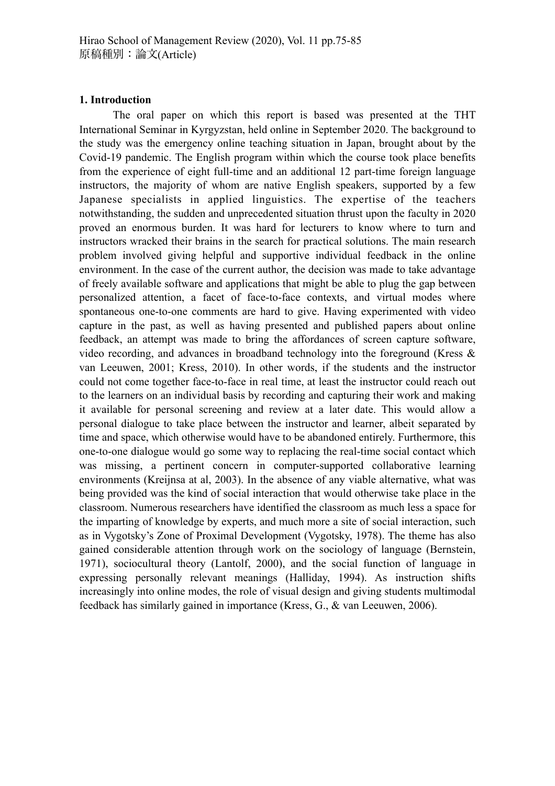## **1. Introduction**

The oral paper on which this report is based was presented at the THT International Seminar in Kyrgyzstan, held online in September 2020. The background to the study was the emergency online teaching situation in Japan, brought about by the Covid-19 pandemic. The English program within which the course took place benefits from the experience of eight full-time and an additional 12 part-time foreign language instructors, the majority of whom are native English speakers, supported by a few Japanese specialists in applied linguistics. The expertise of the teachers notwithstanding, the sudden and unprecedented situation thrust upon the faculty in 2020 proved an enormous burden. It was hard for lecturers to know where to turn and instructors wracked their brains in the search for practical solutions. The main research problem involved giving helpful and supportive individual feedback in the online environment. In the case of the current author, the decision was made to take advantage of freely available software and applications that might be able to plug the gap between personalized attention, a facet of face-to-face contexts, and virtual modes where spontaneous one-to-one comments are hard to give. Having experimented with video capture in the past, as well as having presented and published papers about online feedback, an attempt was made to bring the affordances of screen capture software, video recording, and advances in broadband technology into the foreground (Kress  $\&$ van Leeuwen, 2001; Kress, 2010). In other words, if the students and the instructor could not come together face-to-face in real time, at least the instructor could reach out to the learners on an individual basis by recording and capturing their work and making it available for personal screening and review at a later date. This would allow a personal dialogue to take place between the instructor and learner, albeit separated by time and space, which otherwise would have to be abandoned entirely. Furthermore, this one-to-one dialogue would go some way to replacing the real-time social contact which was missing, a pertinent concern in computer-supported collaborative learning environments (Kreijnsa at al. 2003). In the absence of any viable alternative, what was being provided was the kind of social interaction that would otherwise take place in the classroom. Numerous researchers have identified the classroom as much less a space for the imparting of knowledge by experts, and much more a site of social interaction, such as in Vygotsky's Zone of Proximal Development (Vygotsky, 1978). The theme has also gained considerable attention through work on the sociology of language (Bernstein, 1971), sociocultural theory (Lantolf, 2000), and the social function of language in expressing personally relevant meanings (Halliday, 1994). As instruction shifts increasingly into online modes, the role of visual design and giving students multimodal feedback has similarly gained in importance (Kress, G., & van Leeuwen, 2006).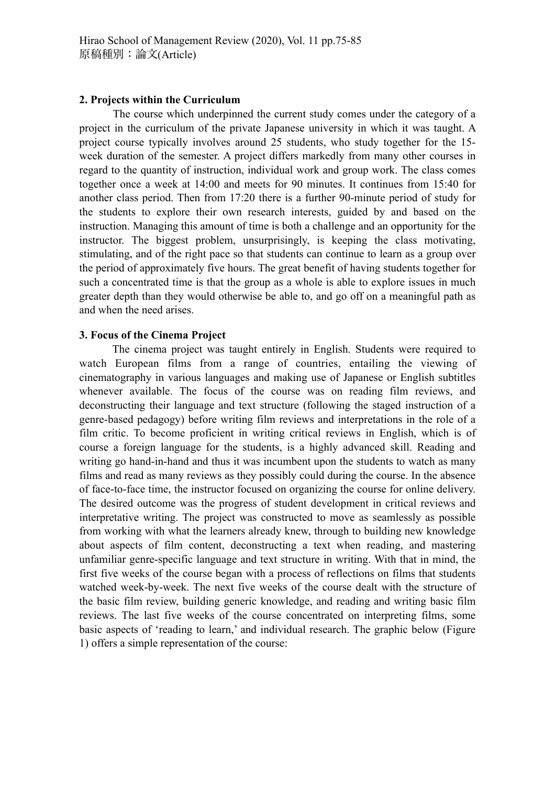#### **2. Projects within the Curriculum**

The course which underpinned the current study comes under the category of a project in the curriculum of the private Japanese university in which it was taught. A project course typically involves around 25 students, who study together for the 15 week duration of the semester. A project differs markedly from many other courses in regard to the quantity of instruction, individual work and group work. The class comes together once a week at 14:00 and meets for 90 minutes. It continues from 15:40 for another class period. Then from 17:20 there is a further 90-minute period of study for the students to explore their own research interests, guided by and based on the instruction. Managing this amount of time is both a challenge and an opportunity for the instructor. The biggest problem, unsurprisingly, is keeping the class motivating, stimulating, and of the right pace so that students can continue to learn as a group over the period of approximately five hours. The great benefit of having students together for such a concentrated time is that the group as a whole is able to explore issues in much greater depth than they would otherwise be able to, and go off on a meaningful path as and when the need arises.

## **3. Focus of the Cinema Project**

The cinema project was taught entirely in English. Students were required to watch European films from a range of countries, entailing the viewing of cinematography in various languages and making use of Japanese or English subtitles whenever available. The focus of the course was on reading film reviews, and deconstructing their language and text structure (following the staged instruction of a genre-based pedagogy) before writing film reviews and interpretations in the role of a film critic. To become proficient in writing critical reviews in English, which is of course a foreign language for the students, is a highly advanced skill. Reading and writing go hand-in-hand and thus it was incumbent upon the students to watch as many films and read as many reviews as they possibly could during the course. In the absence of face-to-face time, the instructor focused on organizing the course for online delivery. The desired outcome was the progress of student development in critical reviews and interpretative writing. The project was constructed to move as seamlessly as possible from working with what the learners already knew, through to building new knowledge about aspects of film content, deconstructing a text when reading, and mastering unfamiliar genre-specific language and text structure in writing. With that in mind, the first five weeks of the course began with a process of reflections on films that students watched week-by-week. The next five weeks of the course dealt with the structure of the basic film review, building generic knowledge, and reading and writing basic film reviews. The last five weeks of the course concentrated on interpreting films, some basic aspects of 'reading to learn,' and individual research. The graphic below (Figure 1) offers a simple representation of the course: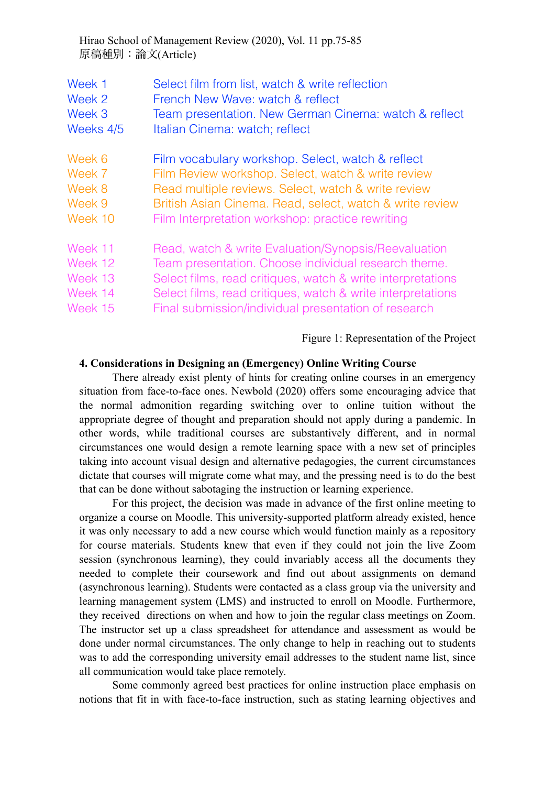Hirao School of Management Review (2020), Vol. 11 pp.75-85 原稿種別:論文(Article)

| Week 1    | Select film from list, watch & write reflection             |
|-----------|-------------------------------------------------------------|
| Week 2    | French New Wave: watch & reflect                            |
| Week 3    | Team presentation. New German Cinema: watch & reflect       |
| Weeks 4/5 | Italian Cinema: watch; reflect                              |
| Week 6    | Film vocabulary workshop. Select, watch & reflect           |
| Week 7    | Film Review workshop. Select, watch & write review          |
| Week 8    | Read multiple reviews. Select, watch & write review         |
| Week 9    | British Asian Cinema. Read, select, watch & write review    |
| Week 10   | Film Interpretation workshop: practice rewriting            |
| Week 11   | Read, watch & write Evaluation/Synopsis/Reevaluation        |
| Week 12   | Team presentation. Choose individual research theme.        |
| Week 13   | Select films, read critiques, watch & write interpretations |
| Week 14   | Select films, read critiques, watch & write interpretations |
| Week 15   | Final submission/individual presentation of research        |

Figure 1: Representation of the Project

#### **4. Considerations in Designing an (Emergency) Online Writing Course**

There already exist plenty of hints for creating online courses in an emergency situation from face-to-face ones. Newbold (2020) offers some encouraging advice that the normal admonition regarding switching over to online tuition without the appropriate degree of thought and preparation should not apply during a pandemic. In other words, while traditional courses are substantively different, and in normal circumstances one would design a remote learning space with a new set of principles taking into account visual design and alternative pedagogies, the current circumstances dictate that courses will migrate come what may, and the pressing need is to do the best that can be done without sabotaging the instruction or learning experience.

For this project, the decision was made in advance of the first online meeting to organize a course on Moodle. This university-supported platform already existed, hence it was only necessary to add a new course which would function mainly as a repository for course materials. Students knew that even if they could not join the live Zoom session (synchronous learning), they could invariably access all the documents they needed to complete their coursework and find out about assignments on demand (asynchronous learning). Students were contacted as a class group via the university and learning management system (LMS) and instructed to enroll on Moodle. Furthermore, they received directions on when and how to join the regular class meetings on Zoom. The instructor set up a class spreadsheet for attendance and assessment as would be done under normal circumstances. The only change to help in reaching out to students was to add the corresponding university email addresses to the student name list, since all communication would take place remotely.

Some commonly agreed best practices for online instruction place emphasis on notions that fit in with face-to-face instruction, such as stating learning objectives and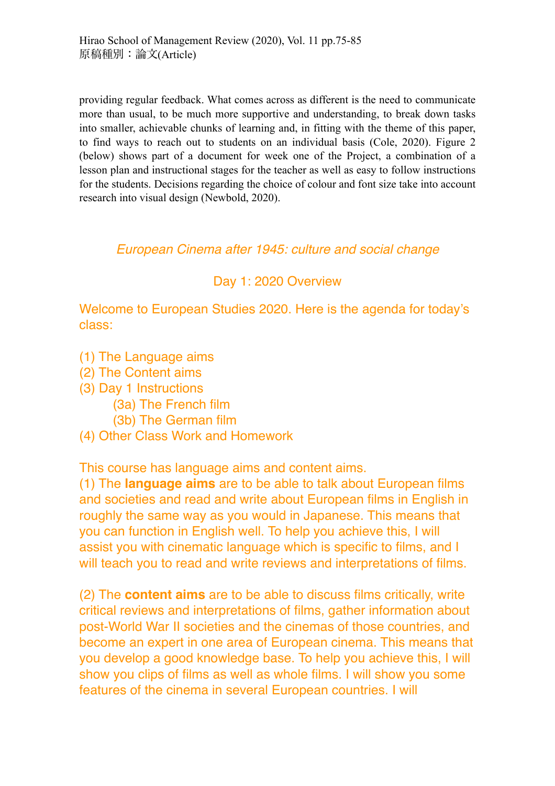providing regular feedback. What comes across as different is the need to communicate more than usual, to be much more supportive and understanding, to break down tasks into smaller, achievable chunks of learning and, in fitting with the theme of this paper, to find ways to reach out to students on an individual basis (Cole, 2020). Figure 2 (below) shows part of a document for week one of the Project, a combination of a lesson plan and instructional stages for the teacher as well as easy to follow instructions for the students. Decisions regarding the choice of colour and font size take into account research into visual design (Newbold, 2020).

# *European Cinema after 1945: culture and social change*

# Day 1: 2020 Overview

Welcome to European Studies 2020. Here is the agenda for today's class:

- (1) The Language aims
- (2) The Content aims
- (3) Day 1 Instructions
	- (3a) The French film
	- (3b) The German film
- (4) Other Class Work and Homework

This course has language aims and content aims.

(1) The **language aims** are to be able to talk about European films and societies and read and write about European films in English in roughly the same way as you would in Japanese. This means that you can function in English well. To help you achieve this, I will assist you with cinematic language which is specific to films, and I will teach you to read and write reviews and interpretations of films.

(2) The **content aims** are to be able to discuss films critically, write critical reviews and interpretations of films, gather information about post-World War II societies and the cinemas of those countries, and become an expert in one area of European cinema. This means that you develop a good knowledge base. To help you achieve this, I will show you clips of films as well as whole films. I will show you some features of the cinema in several European countries. I will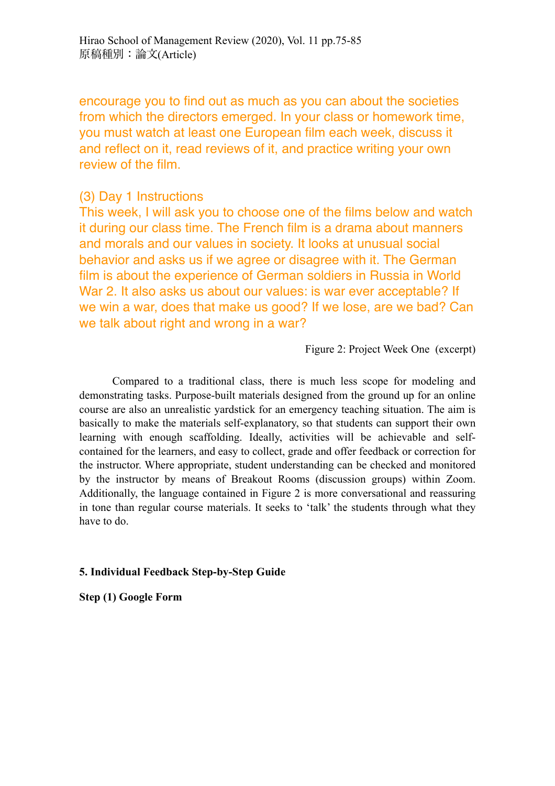encourage you to find out as much as you can about the societies from which the directors emerged. In your class or homework time, you must watch at least one European film each week, discuss it and reflect on it, read reviews of it, and practice writing your own review of the film.

## (3) Day 1 Instructions

This week, I will ask you to choose one of the films below and watch it during our class time. The French film is a drama about manners and morals and our values in society. It looks at unusual social behavior and asks us if we agree or disagree with it. The German film is about the experience of German soldiers in Russia in World War 2. It also asks us about our values: is war ever acceptable? If we win a war, does that make us good? If we lose, are we bad? Can we talk about right and wrong in a war?

## Figure 2: Project Week One (excerpt)

Compared to a traditional class, there is much less scope for modeling and demonstrating tasks. Purpose-built materials designed from the ground up for an online course are also an unrealistic yardstick for an emergency teaching situation. The aim is basically to make the materials self-explanatory, so that students can support their own learning with enough scaffolding. Ideally, activities will be achievable and selfcontained for the learners, and easy to collect, grade and offer feedback or correction for the instructor. Where appropriate, student understanding can be checked and monitored by the instructor by means of Breakout Rooms (discussion groups) within Zoom. Additionally, the language contained in Figure 2 is more conversational and reassuring in tone than regular course materials. It seeks to 'talk' the students through what they have to do.

## **5. Individual Feedback Step-by-Step Guide**

**Step (1) Google Form**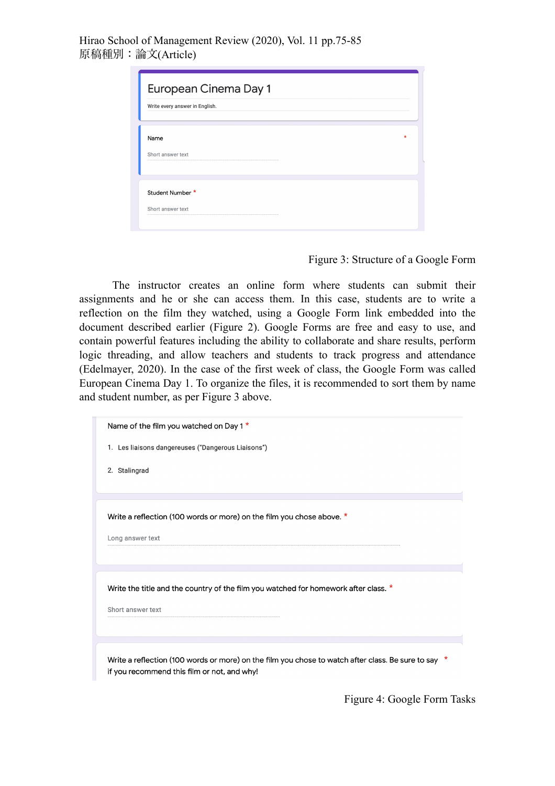Hirao School of Management Review (2020), Vol. 11 pp.75-85 原稿種別:論文(Article)

|                                | <b>European Cinema Day 1</b> |   |
|--------------------------------|------------------------------|---|
| Write every answer in English. |                              |   |
| Name                           |                              | * |
| Short answer text              |                              |   |
|                                |                              |   |
| Student Number *               |                              |   |
| Short answer text              |                              |   |

Figure 3: Structure of a Google Form

The instructor creates an online form where students can submit their assignments and he or she can access them. In this case, students are to write a reflection on the film they watched, using a Google Form link embedded into the document described earlier (Figure 2). Google Forms are free and easy to use, and contain powerful features including the ability to collaborate and share results, perform logic threading, and allow teachers and students to track progress and attendance (Edelmayer, 2020). In the case of the first week of class, the Google Form was called European Cinema Day 1. To organize the files, it is recommended to sort them by name and student number, as per Figure 3 above.

| Name of the film you watched on Day 1 *                                                                                                            |
|----------------------------------------------------------------------------------------------------------------------------------------------------|
| 1. Les liaisons dangereuses ("Dangerous Liaisons")                                                                                                 |
| 2. Stalingrad                                                                                                                                      |
|                                                                                                                                                    |
| Write a reflection (100 words or more) on the film you chose above. *                                                                              |
| Long answer text                                                                                                                                   |
|                                                                                                                                                    |
| Write the title and the country of the film you watched for homework after class. *                                                                |
| Short answer text                                                                                                                                  |
|                                                                                                                                                    |
|                                                                                                                                                    |
| Write a reflection (100 words or more) on the film you chose to watch after class. Be sure to say *<br>if you recommend this film or not, and why! |

Figure 4: Google Form Tasks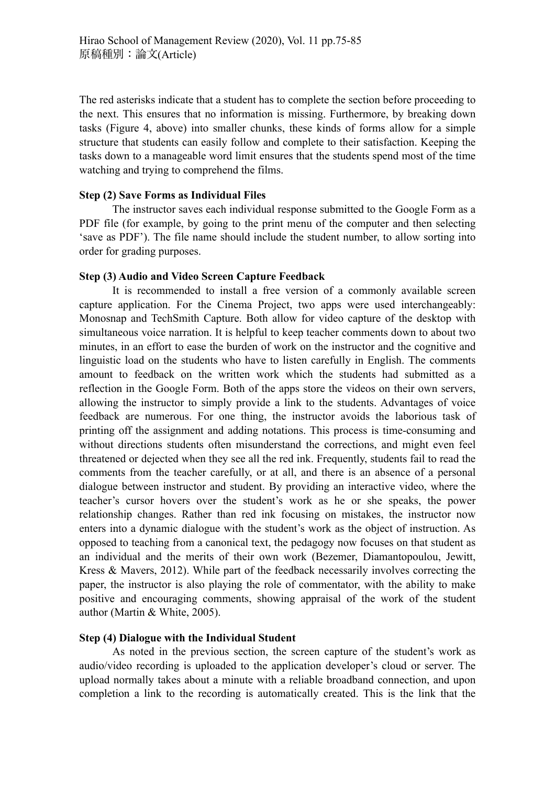The red asterisks indicate that a student has to complete the section before proceeding to the next. This ensures that no information is missing. Furthermore, by breaking down tasks (Figure 4, above) into smaller chunks, these kinds of forms allow for a simple structure that students can easily follow and complete to their satisfaction. Keeping the tasks down to a manageable word limit ensures that the students spend most of the time watching and trying to comprehend the films.

## **Step (2) Save Forms as Individual Files**

The instructor saves each individual response submitted to the Google Form as a PDF file (for example, by going to the print menu of the computer and then selecting 'save as PDF'). The file name should include the student number, to allow sorting into order for grading purposes.

## **Step (3) Audio and Video Screen Capture Feedback**

It is recommended to install a free version of a commonly available screen capture application. For the Cinema Project, two apps were used interchangeably: Monosnap and TechSmith Capture. Both allow for video capture of the desktop with simultaneous voice narration. It is helpful to keep teacher comments down to about two minutes, in an effort to ease the burden of work on the instructor and the cognitive and linguistic load on the students who have to listen carefully in English. The comments amount to feedback on the written work which the students had submitted as a reflection in the Google Form. Both of the apps store the videos on their own servers, allowing the instructor to simply provide a link to the students. Advantages of voice feedback are numerous. For one thing, the instructor avoids the laborious task of printing off the assignment and adding notations. This process is time-consuming and without directions students often misunderstand the corrections, and might even feel threatened or dejected when they see all the red ink. Frequently, students fail to read the comments from the teacher carefully, or at all, and there is an absence of a personal dialogue between instructor and student. By providing an interactive video, where the teacher's cursor hovers over the student's work as he or she speaks, the power relationship changes. Rather than red ink focusing on mistakes, the instructor now enters into a dynamic dialogue with the student's work as the object of instruction. As opposed to teaching from a canonical text, the pedagogy now focuses on that student as an individual and the merits of their own work (Bezemer, Diamantopoulou, Jewitt, Kress & Mavers, 2012). While part of the feedback necessarily involves correcting the paper, the instructor is also playing the role of commentator, with the ability to make positive and encouraging comments, showing appraisal of the work of the student author (Martin & White, 2005).

## **Step (4) Dialogue with the Individual Student**

As noted in the previous section, the screen capture of the student's work as audio/video recording is uploaded to the application developer's cloud or server. The upload normally takes about a minute with a reliable broadband connection, and upon completion a link to the recording is automatically created. This is the link that the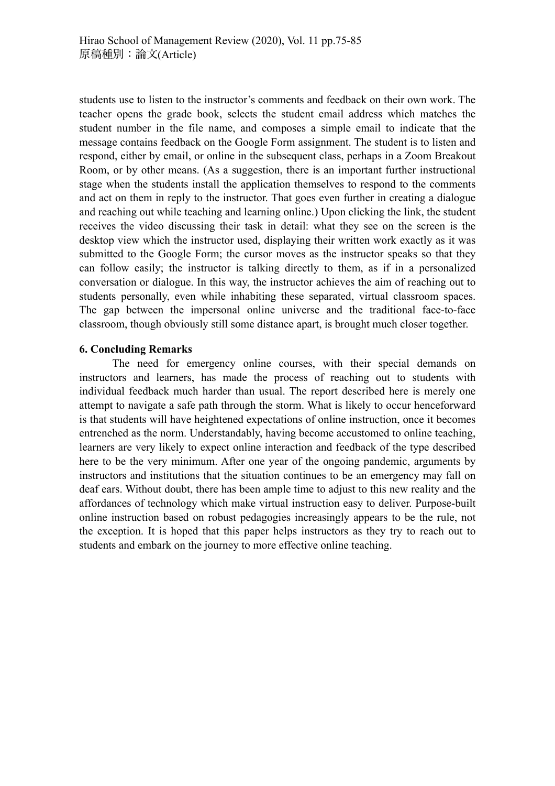students use to listen to the instructor's comments and feedback on their own work. The teacher opens the grade book, selects the student email address which matches the student number in the file name, and composes a simple email to indicate that the message contains feedback on the Google Form assignment. The student is to listen and respond, either by email, or online in the subsequent class, perhaps in a Zoom Breakout Room, or by other means. (As a suggestion, there is an important further instructional stage when the students install the application themselves to respond to the comments and act on them in reply to the instructor. That goes even further in creating a dialogue and reaching out while teaching and learning online.) Upon clicking the link, the student receives the video discussing their task in detail: what they see on the screen is the desktop view which the instructor used, displaying their written work exactly as it was submitted to the Google Form; the cursor moves as the instructor speaks so that they can follow easily; the instructor is talking directly to them, as if in a personalized conversation or dialogue. In this way, the instructor achieves the aim of reaching out to students personally, even while inhabiting these separated, virtual classroom spaces. The gap between the impersonal online universe and the traditional face-to-face classroom, though obviously still some distance apart, is brought much closer together.

## **6. Concluding Remarks**

The need for emergency online courses, with their special demands on instructors and learners, has made the process of reaching out to students with individual feedback much harder than usual. The report described here is merely one attempt to navigate a safe path through the storm. What is likely to occur henceforward is that students will have heightened expectations of online instruction, once it becomes entrenched as the norm. Understandably, having become accustomed to online teaching, learners are very likely to expect online interaction and feedback of the type described here to be the very minimum. After one year of the ongoing pandemic, arguments by instructors and institutions that the situation continues to be an emergency may fall on deaf ears. Without doubt, there has been ample time to adjust to this new reality and the affordances of technology which make virtual instruction easy to deliver. Purpose-built online instruction based on robust pedagogies increasingly appears to be the rule, not the exception. It is hoped that this paper helps instructors as they try to reach out to students and embark on the journey to more effective online teaching.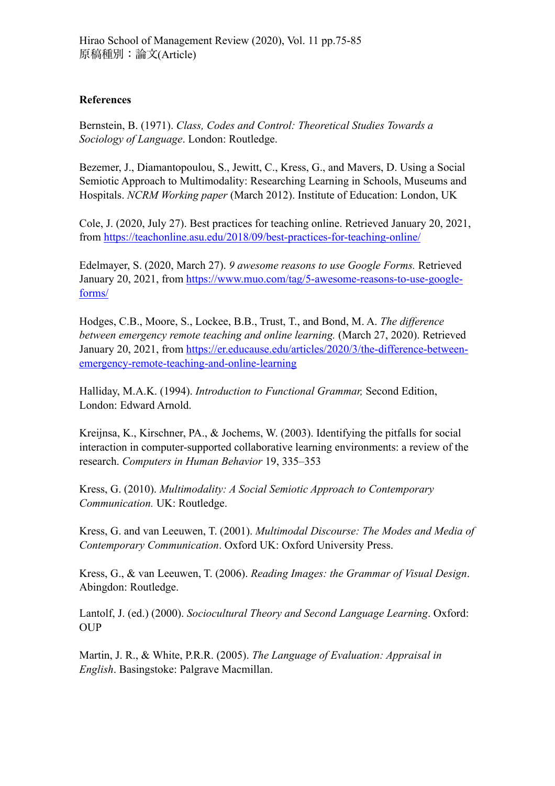## **References**

Bernstein, B. (1971). *Class, Codes and Control: Theoretical Studies Towards a Sociology of Language*. London: Routledge.

Bezemer, J., Diamantopoulou, S., Jewitt, C., Kress, G., and Mavers, D. Using a Social Semiotic Approach to Multimodality: Researching Learning in Schools, Museums and Hospitals. *NCRM Working paper* (March 2012). Institute of Education: London, UK

Cole, J. (2020, July 27). Best practices for teaching online. Retrieved January 20, 2021, from<https://teachonline.asu.edu/2018/09/best-practices-for-teaching-online/>

Edelmayer, S. (2020, March 27). *9 awesome reasons to use Google Forms.* Retrieved January 20, 2021, from [https://www.muo.com/tag/5-awesome-reasons-to-use-google](https://www.muo.com/tag/5-awesome-reasons-to-use-google-forms/)[forms/](https://www.muo.com/tag/5-awesome-reasons-to-use-google-forms/)

Hodges, C.B., Moore, S., Lockee, B.B., Trust, T., and Bond, M. A. *The difference between emergency remote teaching and online learning.* (March 27, 2020). Retrieved January 20, 2021, from [https://er.educause.edu/articles/2020/3/the-difference-between](https://er.educause.edu/articles/2020/3/the-difference-between-emergency-remote-teaching-and-online-learning)[emergency-remote-teaching-and-online-learning](https://er.educause.edu/articles/2020/3/the-difference-between-emergency-remote-teaching-and-online-learning)

Halliday, M.A.K. (1994). *Introduction to Functional Grammar,* Second Edition, London: Edward Arnold.

Kreijnsa, K., Kirschner, PA., & Jochems, W. (2003). Identifying the pitfalls for social interaction in computer-supported collaborative learning environments: a review of the research. *Computers in Human Behavior* 19, 335–353

Kress, G. (2010). *Multimodality: A Social Semiotic Approach to Contemporary Communication.* UK: Routledge.

Kress, G. and van Leeuwen, T. (2001). *Multimodal Discourse: The Modes and Media of Contemporary Communication*. Oxford UK: Oxford University Press.

Kress, G., & van Leeuwen, T. (2006). *Reading Images: the Grammar of Visual Design*. Abingdon: Routledge.

Lantolf, J. (ed.) (2000). *Sociocultural Theory and Second Language Learning*. Oxford: OUP

Martin, J. R., & White, P.R.R. (2005). *The Language of Evaluation: Appraisal in English*. Basingstoke: Palgrave Macmillan.